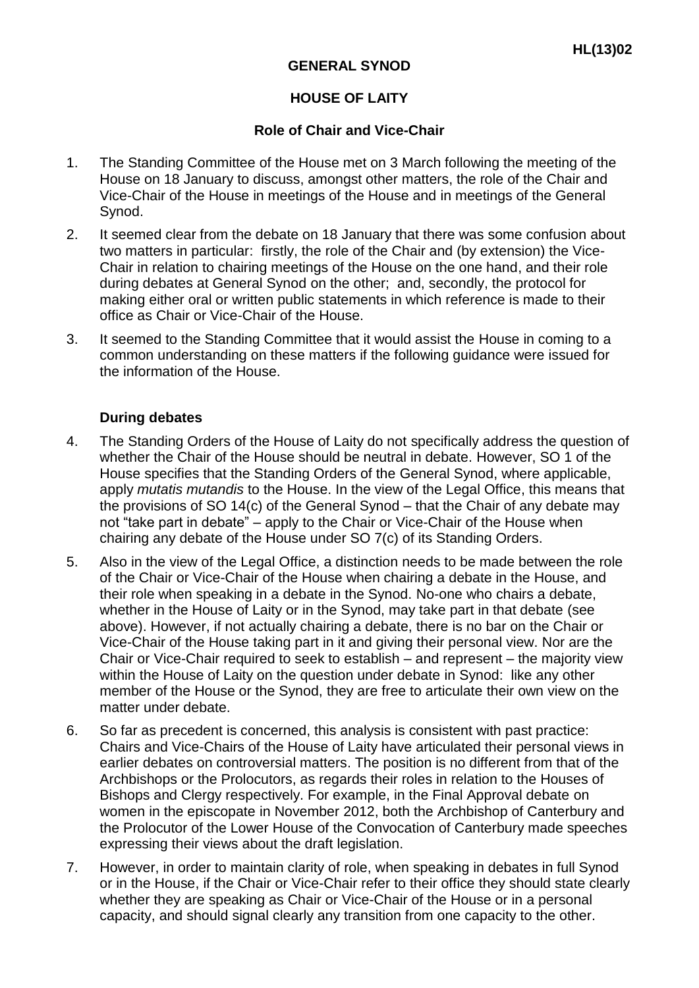## **HOUSE OF LAITY**

## **Role of Chair and Vice-Chair**

- 1. The Standing Committee of the House met on 3 March following the meeting of the House on 18 January to discuss, amongst other matters, the role of the Chair and Vice-Chair of the House in meetings of the House and in meetings of the General Synod.
- 2. It seemed clear from the debate on 18 January that there was some confusion about two matters in particular: firstly, the role of the Chair and (by extension) the Vice-Chair in relation to chairing meetings of the House on the one hand, and their role during debates at General Synod on the other; and, secondly, the protocol for making either oral or written public statements in which reference is made to their office as Chair or Vice-Chair of the House.
- 3. It seemed to the Standing Committee that it would assist the House in coming to a common understanding on these matters if the following guidance were issued for the information of the House.

## **During debates**

- 4. The Standing Orders of the House of Laity do not specifically address the question of whether the Chair of the House should be neutral in debate. However, SO 1 of the House specifies that the Standing Orders of the General Synod, where applicable, apply *mutatis mutandis* to the House. In the view of the Legal Office, this means that the provisions of SO 14(c) of the General Synod – that the Chair of any debate may not "take part in debate" – apply to the Chair or Vice-Chair of the House when chairing any debate of the House under SO 7(c) of its Standing Orders.
- 5. Also in the view of the Legal Office, a distinction needs to be made between the role of the Chair or Vice-Chair of the House when chairing a debate in the House, and their role when speaking in a debate in the Synod. No-one who chairs a debate, whether in the House of Laity or in the Synod, may take part in that debate (see above). However, if not actually chairing a debate, there is no bar on the Chair or Vice-Chair of the House taking part in it and giving their personal view. Nor are the Chair or Vice-Chair required to seek to establish – and represent – the majority view within the House of Laity on the question under debate in Synod: like any other member of the House or the Synod, they are free to articulate their own view on the matter under debate.
- 6. So far as precedent is concerned, this analysis is consistent with past practice: Chairs and Vice-Chairs of the House of Laity have articulated their personal views in earlier debates on controversial matters. The position is no different from that of the Archbishops or the Prolocutors, as regards their roles in relation to the Houses of Bishops and Clergy respectively. For example, in the Final Approval debate on women in the episcopate in November 2012, both the Archbishop of Canterbury and the Prolocutor of the Lower House of the Convocation of Canterbury made speeches expressing their views about the draft legislation.
- 7. However, in order to maintain clarity of role, when speaking in debates in full Synod or in the House, if the Chair or Vice-Chair refer to their office they should state clearly whether they are speaking as Chair or Vice-Chair of the House or in a personal capacity, and should signal clearly any transition from one capacity to the other.